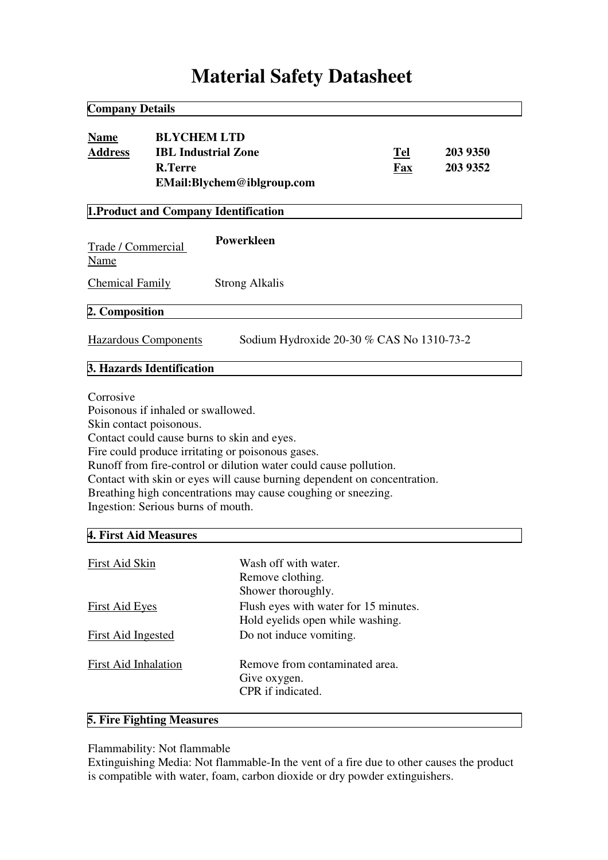# **Material Safety Datasheet**

| <b>Company Details</b>                                                   |                                                                                                     |                                                                                                                                                                                                                                                                                                                    |                   |                      |
|--------------------------------------------------------------------------|-----------------------------------------------------------------------------------------------------|--------------------------------------------------------------------------------------------------------------------------------------------------------------------------------------------------------------------------------------------------------------------------------------------------------------------|-------------------|----------------------|
| <b>Name</b><br><b>Address</b>                                            | <b>BLYCHEM LTD</b><br><b>R.Terre</b>                                                                | <b>IBL Industrial Zone</b><br>EMail:Blychem@iblgroup.com                                                                                                                                                                                                                                                           | <b>Tel</b><br>Fax | 203 9350<br>203 9352 |
|                                                                          |                                                                                                     | 1. Product and Company Identification                                                                                                                                                                                                                                                                              |                   |                      |
| Trade / Commercial<br>Name                                               |                                                                                                     | Powerkleen                                                                                                                                                                                                                                                                                                         |                   |                      |
| <b>Chemical Family</b>                                                   |                                                                                                     | <b>Strong Alkalis</b>                                                                                                                                                                                                                                                                                              |                   |                      |
| 2. Composition                                                           |                                                                                                     |                                                                                                                                                                                                                                                                                                                    |                   |                      |
| <b>Hazardous Components</b><br>Sodium Hydroxide 20-30 % CAS No 1310-73-2 |                                                                                                     |                                                                                                                                                                                                                                                                                                                    |                   |                      |
|                                                                          | 3. Hazards Identification                                                                           |                                                                                                                                                                                                                                                                                                                    |                   |                      |
| Corrosive<br>4. First Aid Measures                                       | Poisonous if inhaled or swallowed.<br>Skin contact poisonous.<br>Ingestion: Serious burns of mouth. | Contact could cause burns to skin and eyes.<br>Fire could produce irritating or poisonous gases.<br>Runoff from fire-control or dilution water could cause pollution.<br>Contact with skin or eyes will cause burning dependent on concentration.<br>Breathing high concentrations may cause coughing or sneezing. |                   |                      |
|                                                                          |                                                                                                     |                                                                                                                                                                                                                                                                                                                    |                   |                      |
| <b>First Aid Skin</b>                                                    |                                                                                                     | Wash off with water.<br>Remove clothing.<br>Shower thoroughly.                                                                                                                                                                                                                                                     |                   |                      |
| <b>First Aid Eyes</b>                                                    |                                                                                                     | Flush eyes with water for 15 minutes.<br>Hold eyelids open while washing.                                                                                                                                                                                                                                          |                   |                      |
| <b>First Aid Ingested</b>                                                |                                                                                                     | Do not induce vomiting.                                                                                                                                                                                                                                                                                            |                   |                      |
| <b>First Aid Inhalation</b>                                              |                                                                                                     | Remove from contaminated area.<br>Give oxygen.<br>CPR if indicated.                                                                                                                                                                                                                                                |                   |                      |

# **5. Fire Fighting Measures**

# Flammability: Not flammable

Extinguishing Media: Not flammable-In the vent of a fire due to other causes the product is compatible with water, foam, carbon dioxide or dry powder extinguishers.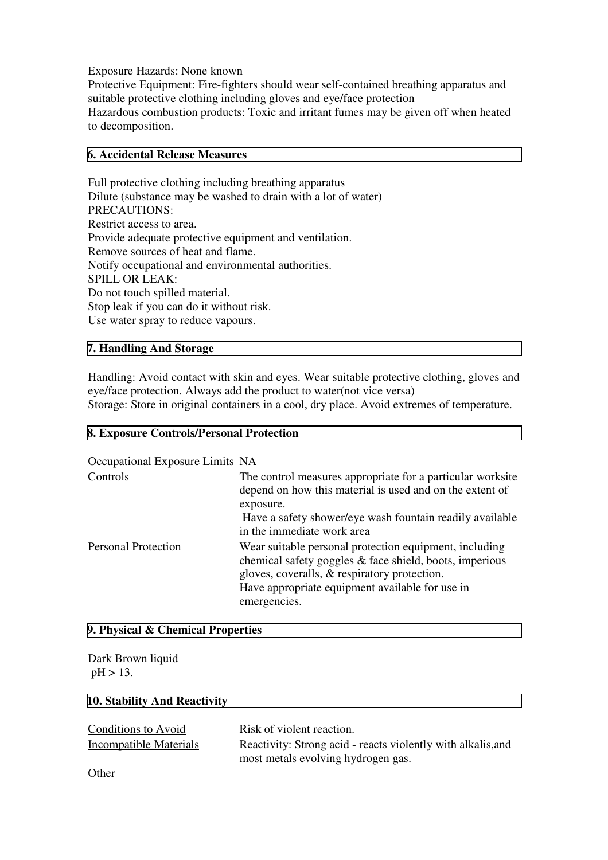#### Exposure Hazards: None known

Protective Equipment: Fire-fighters should wear self-contained breathing apparatus and suitable protective clothing including gloves and eye/face protection Hazardous combustion products: Toxic and irritant fumes may be given off when heated to decomposition.

## **6. Accidental Release Measures**

Full protective clothing including breathing apparatus Dilute (substance may be washed to drain with a lot of water) PRECAUTIONS: Restrict access to area. Provide adequate protective equipment and ventilation. Remove sources of heat and flame. Notify occupational and environmental authorities. SPILL OR LEAK: Do not touch spilled material. Stop leak if you can do it without risk. Use water spray to reduce vapours.

# **7. Handling And Storage**

Handling: Avoid contact with skin and eyes. Wear suitable protective clothing, gloves and eye/face protection. Always add the product to water(not vice versa)

Storage: Store in original containers in a cool, dry place. Avoid extremes of temperature.

# **8. Exposure Controls/Personal Protection** Occupational Exposure Limits NA

| Occupational Exposure Linnus <b>NA</b> |                                                                                                                                                                   |
|----------------------------------------|-------------------------------------------------------------------------------------------------------------------------------------------------------------------|
| Controls                               | The control measures appropriate for a particular worksite                                                                                                        |
|                                        | depend on how this material is used and on the extent of                                                                                                          |
|                                        | exposure.                                                                                                                                                         |
|                                        | Have a safety shower/eye wash fountain readily available                                                                                                          |
|                                        | in the immediate work area                                                                                                                                        |
| <b>Personal Protection</b>             | Wear suitable personal protection equipment, including<br>chemical safety goggles & face shield, boots, imperious<br>gloves, coveralls, & respiratory protection. |
|                                        | Have appropriate equipment available for use in                                                                                                                   |
|                                        | emergencies.                                                                                                                                                      |

# **9. Physical & Chemical Properties**

Dark Brown liquid pH > 13.

#### **10. Stability And Reactivity**

| Conditions to Avoid    | Risk of violent reaction.                                    |
|------------------------|--------------------------------------------------------------|
| Incompatible Materials | Reactivity: Strong acid - reacts violently with alkalis, and |
|                        | most metals evolving hydrogen gas.                           |
| Other                  |                                                              |